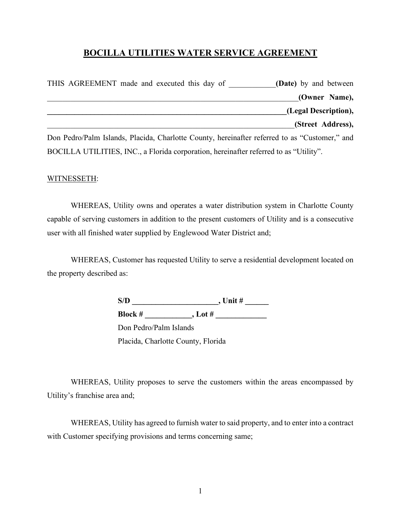# **BOCILLA UTILITIES WATER SERVICE AGREEMENT**

| THIS AGREEMENT made and executed this day of                                                  | <b>(Date)</b> by and between |
|-----------------------------------------------------------------------------------------------|------------------------------|
|                                                                                               | (Owner Name),                |
|                                                                                               | (Legal Description),         |
|                                                                                               | (Street Address),            |
| Don Pedro/Palm Islands, Placida, Charlotte County, hereinafter referred to as "Customer," and |                              |

BOCILLA UTILITIES, INC., a Florida corporation, hereinafter referred to as "Utility".

### WITNESSETH:

WHEREAS, Utility owns and operates a water distribution system in Charlotte County capable of serving customers in addition to the present customers of Utility and is a consecutive user with all finished water supplied by Englewood Water District and;

WHEREAS, Customer has requested Utility to serve a residential development located on the property described as:

| S/D                                | , Unit $#$ |  |
|------------------------------------|------------|--|
| <b>Block #</b>                     | , Lot $#$  |  |
| Don Pedro/Palm Islands             |            |  |
| Placida, Charlotte County, Florida |            |  |

WHEREAS, Utility proposes to serve the customers within the areas encompassed by Utility's franchise area and;

WHEREAS, Utility has agreed to furnish water to said property, and to enter into a contract with Customer specifying provisions and terms concerning same;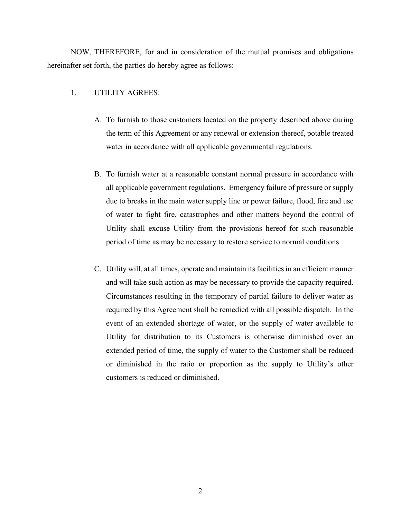NOW, THEREFORE, for and in consideration of the mutual promises and obligations hereinafter set forth, the parties do hereby agree as follows:

#### 1. UTILITY AGREES:

- A. To furnish to those customers located on the property described above during the term of this Agreement or any renewal or extension thereof, potable treated water in accordance with all applicable governmental regulations.
- B. To furnish water at a reasonable constant normal pressure in accordance with all applicable government regulations. Emergency failure of pressure or supply due to breaks in the main water supply line or power failure, flood, fire and use of water to fight fire, catastrophes and other matters beyond the control of Utility shall excuse Utility from the provisions hereof for such reasonable period of time as may be necessary to restore service to normal conditions
- C. Utility will, at all times, operate and maintain its facilities in an efficient manner and will take such action as may be necessary to provide the capacity required. Circumstances resulting in the temporary of partial failure to deliver water as required by this Agreement shall be remedied with all possible dispatch. In the event of an extended shortage of water, or the supply of water available to Utility for distribution to its Customers is otherwise diminished over an extended period of time, the supply of water to the Customer shall be reduced or diminished in the ratio or proportion as the supply to Utility's other customers is reduced or diminished.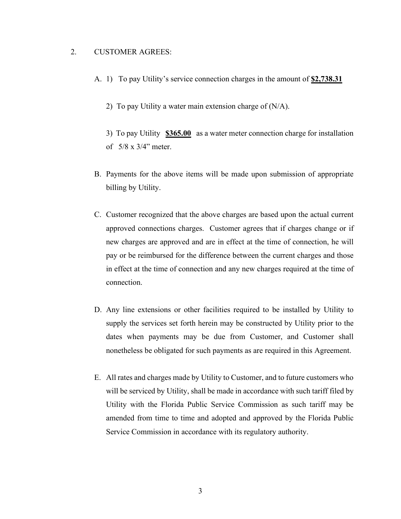### 2. CUSTOMER AGREES:

- A. 1) To pay Utility's service connection charges in the amount of **\$2,738.31**
	- 2) To pay Utility a water main extension charge of  $(N/A)$ .

3) To pay Utility **\$365.00** as a water meter connection charge for installation of 5/8 x 3/4" meter.

- B. Payments for the above items will be made upon submission of appropriate billing by Utility.
- C. Customer recognized that the above charges are based upon the actual current approved connections charges. Customer agrees that if charges change or if new charges are approved and are in effect at the time of connection, he will pay or be reimbursed for the difference between the current charges and those in effect at the time of connection and any new charges required at the time of connection.
- D. Any line extensions or other facilities required to be installed by Utility to supply the services set forth herein may be constructed by Utility prior to the dates when payments may be due from Customer, and Customer shall nonetheless be obligated for such payments as are required in this Agreement.
- E. All rates and charges made by Utility to Customer, and to future customers who will be serviced by Utility, shall be made in accordance with such tariff filed by Utility with the Florida Public Service Commission as such tariff may be amended from time to time and adopted and approved by the Florida Public Service Commission in accordance with its regulatory authority.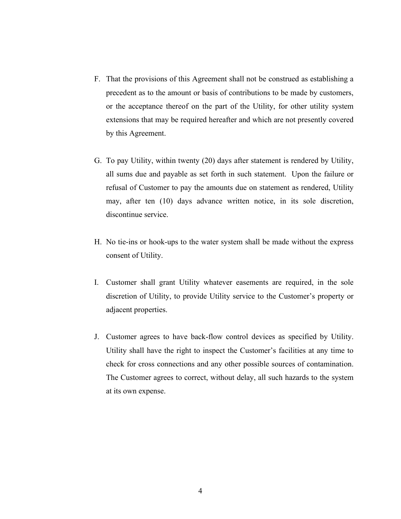- F. That the provisions of this Agreement shall not be construed as establishing a precedent as to the amount or basis of contributions to be made by customers, or the acceptance thereof on the part of the Utility, for other utility system extensions that may be required hereafter and which are not presently covered by this Agreement.
- G. To pay Utility, within twenty (20) days after statement is rendered by Utility, all sums due and payable as set forth in such statement. Upon the failure or refusal of Customer to pay the amounts due on statement as rendered, Utility may, after ten (10) days advance written notice, in its sole discretion, discontinue service.
- H. No tie-ins or hook-ups to the water system shall be made without the express consent of Utility.
- I. Customer shall grant Utility whatever easements are required, in the sole discretion of Utility, to provide Utility service to the Customer's property or adjacent properties.
- J. Customer agrees to have back-flow control devices as specified by Utility. Utility shall have the right to inspect the Customer's facilities at any time to check for cross connections and any other possible sources of contamination. The Customer agrees to correct, without delay, all such hazards to the system at its own expense.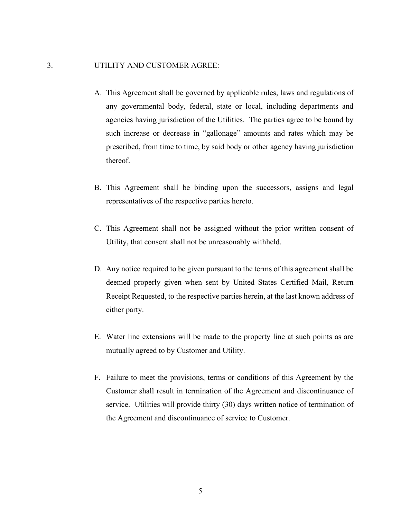### 3. UTILITY AND CUSTOMER AGREE:

- A. This Agreement shall be governed by applicable rules, laws and regulations of any governmental body, federal, state or local, including departments and agencies having jurisdiction of the Utilities. The parties agree to be bound by such increase or decrease in "gallonage" amounts and rates which may be prescribed, from time to time, by said body or other agency having jurisdiction thereof.
- B. This Agreement shall be binding upon the successors, assigns and legal representatives of the respective parties hereto.
- C. This Agreement shall not be assigned without the prior written consent of Utility, that consent shall not be unreasonably withheld.
- D. Any notice required to be given pursuant to the terms of this agreement shall be deemed properly given when sent by United States Certified Mail, Return Receipt Requested, to the respective parties herein, at the last known address of either party.
- E. Water line extensions will be made to the property line at such points as are mutually agreed to by Customer and Utility.
- F. Failure to meet the provisions, terms or conditions of this Agreement by the Customer shall result in termination of the Agreement and discontinuance of service. Utilities will provide thirty (30) days written notice of termination of the Agreement and discontinuance of service to Customer.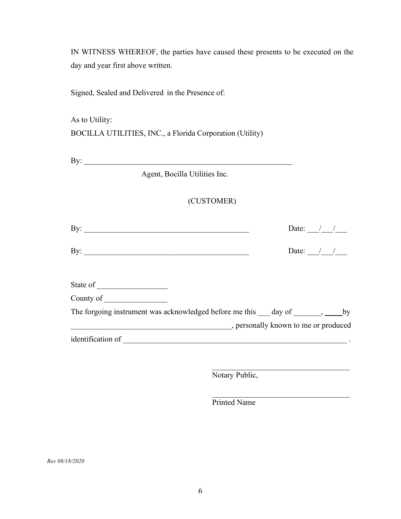IN WITNESS WHEREOF, the parties have caused these presents to be executed on the day and year first above written.

Signed, Sealed and Delivered in the Presence of:

As to Utility: BOCILLA UTILITIES, INC., a Florida Corporation (Utility)

By: \_\_\_\_\_\_\_\_\_\_\_\_\_\_\_\_\_\_\_\_\_\_\_\_\_\_\_\_\_\_\_\_\_\_\_\_\_\_\_\_\_\_\_\_\_\_\_\_\_\_\_\_\_

Agent, Bocilla Utilities Inc.

## (CUSTOMER)

| By: $\qquad \qquad$                                                         | Date: $\frac{1}{2}$ /      |  |
|-----------------------------------------------------------------------------|----------------------------|--|
| By: $\qquad \qquad$                                                         | Date: $\frac{1}{\sqrt{2}}$ |  |
|                                                                             |                            |  |
|                                                                             |                            |  |
| The forgoing instrument was acknowledged before me this same day of same by |                            |  |
|                                                                             |                            |  |
| identification of                                                           |                            |  |
|                                                                             |                            |  |
|                                                                             |                            |  |

 $\overline{\phantom{a}}$  , which is a set of the set of the set of the set of the set of the set of the set of the set of the set of the set of the set of the set of the set of the set of the set of the set of the set of the set of th

Notary Public,

Printed Name